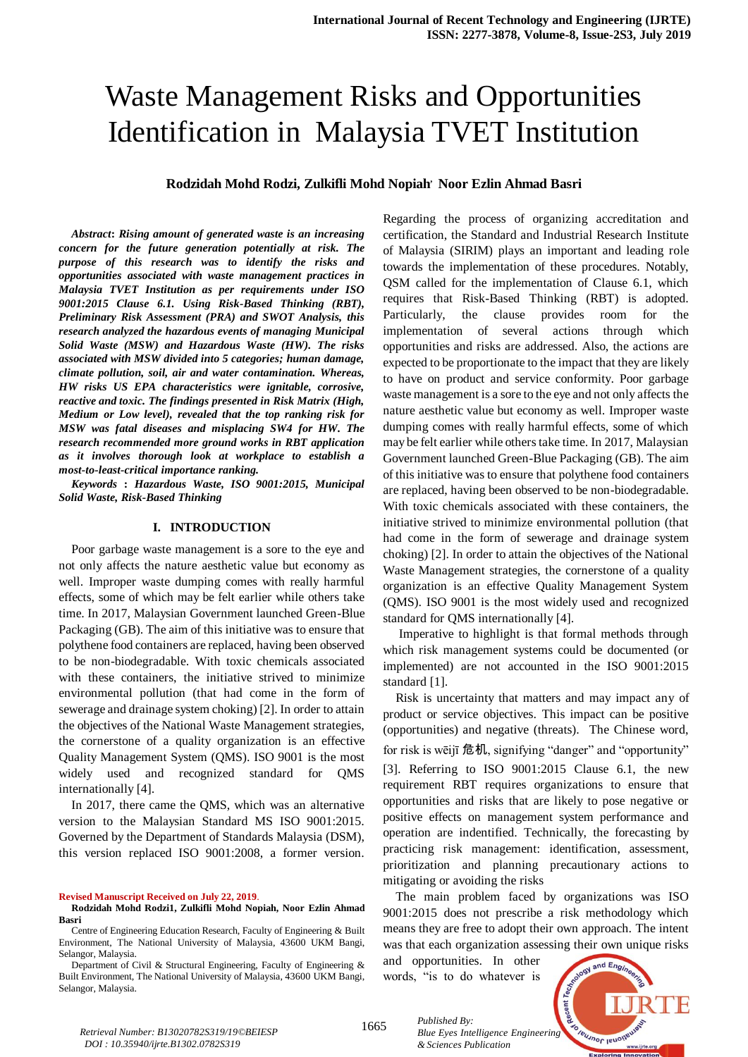# Waste Management Risks and Opportunities Identification in Malaysia TVET Institution

## **Rodzidah Mohd Rodzi, Zulkifli Mohd Nopiah, Noor Ezlin Ahmad Basri**

*Abstract***:** *Rising amount of generated waste is an increasing concern for the future generation potentially at risk. The purpose of this research was to identify the risks and opportunities associated with waste management practices in Malaysia TVET Institution as per requirements under ISO 9001:2015 Clause 6.1. Using Risk-Based Thinking (RBT), Preliminary Risk Assessment (PRA) and SWOT Analysis, this research analyzed the hazardous events of managing Municipal Solid Waste (MSW) and Hazardous Waste (HW). The risks associated with MSW divided into 5 categories; human damage, climate pollution, soil, air and water contamination. Whereas, HW risks US EPA characteristics were ignitable, corrosive, reactive and toxic. The findings presented in Risk Matrix (High, Medium or Low level), revealed that the top ranking risk for MSW was fatal diseases and misplacing SW4 for HW. The research recommended more ground works in RBT application as it involves thorough look at workplace to establish a most-to-least-critical importance ranking.* 

*Keywords* **:** *Hazardous Waste, ISO 9001:2015, Municipal Solid Waste, Risk-Based Thinking*

## **I. INTRODUCTION**

Poor garbage waste management is a sore to the eye and not only affects the nature aesthetic value but economy as well. Improper waste dumping comes with really harmful effects, some of which may be felt earlier while others take time. In 2017, Malaysian Government launched Green-Blue Packaging (GB). The aim of this initiative was to ensure that polythene food containers are replaced, having been observed to be non-biodegradable. With toxic chemicals associated with these containers, the initiative strived to minimize environmental pollution (that had come in the form of sewerage and drainage system choking) [2]. In order to attain the objectives of the National Waste Management strategies, the cornerstone of a quality organization is an effective Quality Management System (QMS). ISO 9001 is the most widely used and recognized standard for QMS internationally [4].

In 2017, there came the QMS, which was an alternative version to the Malaysian Standard MS ISO 9001:2015. Governed by the Department of Standards Malaysia (DSM), this version replaced ISO 9001:2008, a former version.

**Revised Manuscript Received on July 22, 2019**.

Regarding the process of organizing accreditation and certification, the Standard and Industrial Research Institute of Malaysia (SIRIM) plays an important and leading role towards the implementation of these procedures. Notably, QSM called for the implementation of Clause 6.1, which requires that Risk-Based Thinking (RBT) is adopted. Particularly, the clause provides room for the implementation of several actions through which opportunities and risks are addressed. Also, the actions are expected to be proportionate to the impact that they are likely to have on product and service conformity. Poor garbage waste management is a sore to the eye and not only affects the nature aesthetic value but economy as well. Improper waste dumping comes with really harmful effects, some of which may be felt earlier while others take time. In 2017, Malaysian Government launched Green-Blue Packaging (GB). The aim of this initiative was to ensure that polythene food containers are replaced, having been observed to be non-biodegradable. With toxic chemicals associated with these containers, the initiative strived to minimize environmental pollution (that had come in the form of sewerage and drainage system choking) [2]. In order to attain the objectives of the National Waste Management strategies, the cornerstone of a quality organization is an effective Quality Management System (QMS). ISO 9001 is the most widely used and recognized standard for QMS internationally [4].

Imperative to highlight is that formal methods through which risk management systems could be documented (or implemented) are not accounted in the ISO 9001:2015 standard [1].

Risk is uncertainty that matters and may impact any of product or service objectives. This impact can be positive (opportunities) and negative (threats). The Chinese word, for risk is wēijī 危机, signifying "danger" and "opportunity" [3]. Referring to ISO 9001:2015 Clause 6.1, the new requirement RBT requires organizations to ensure that opportunities and risks that are likely to pose negative or positive effects on management system performance and operation are indentified. Technically, the forecasting by practicing risk management: identification, assessment, prioritization and planning precautionary actions to mitigating or avoiding the risks

The main problem faced by organizations was ISO 9001:2015 does not prescribe a risk methodology which means they are free to adopt their own approach. The intent was that each organization assessing their own unique risks

and opportunities. In other words, "is to do whatever is

*& Sciences Publication* 

*Published By:*



**Rodzidah Mohd Rodzi1, Zulkifli Mohd Nopiah, Noor Ezlin Ahmad Basri**

Centre of Engineering Education Research, Faculty of Engineering & Built Environment, The National University of Malaysia, 43600 UKM Bangi, Selangor, Malaysia.

Department of Civil & Structural Engineering, Faculty of Engineering & Built Environment, The National University of Malaysia, 43600 UKM Bangi, Selangor, Malaysia.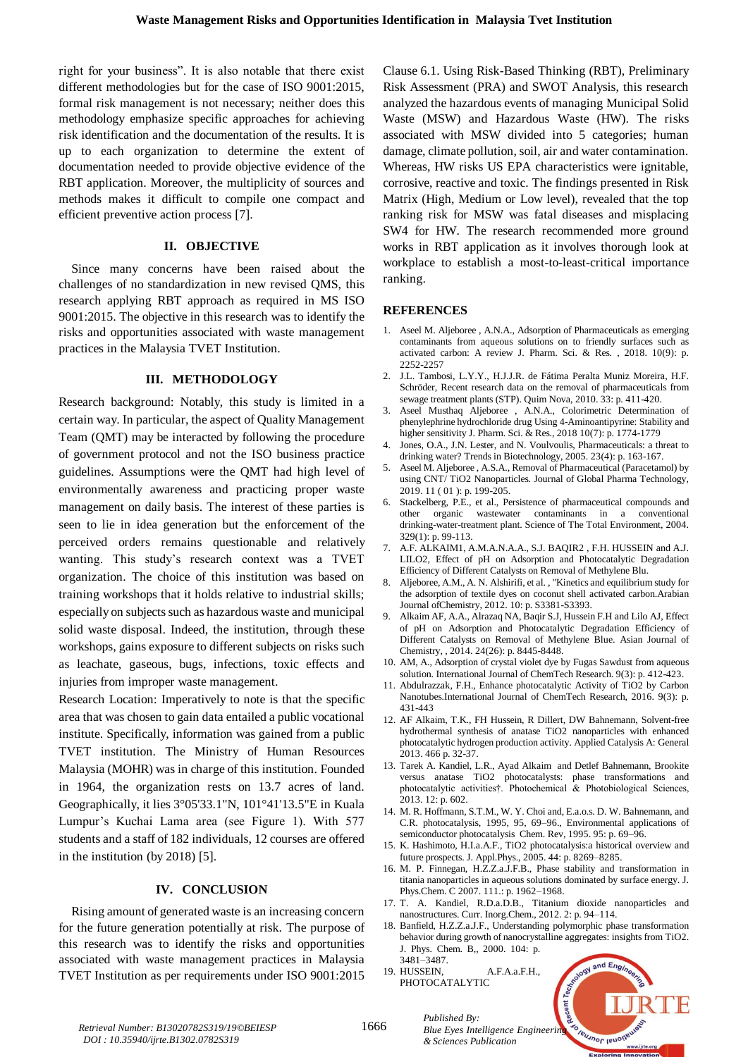right for your business". It is also notable that there exist different methodologies but for the case of ISO 9001:2015, formal risk management is not necessary; neither does this methodology emphasize specific approaches for achieving risk identification and the documentation of the results. It is up to each organization to determine the extent of documentation needed to provide objective evidence of the RBT application. Moreover, the multiplicity of sources and methods makes it difficult to compile one compact and efficient preventive action process [7].

### **II. OBJECTIVE**

Since many concerns have been raised about the challenges of no standardization in new revised QMS, this research applying RBT approach as required in MS ISO 9001:2015. The objective in this research was to identify the risks and opportunities associated with waste management practices in the Malaysia TVET Institution.

#### **III. METHODOLOGY**

Research background: Notably, this study is limited in a certain way. In particular, the aspect of Quality Management Team (QMT) may be interacted by following the procedure of government protocol and not the ISO business practice guidelines. Assumptions were the QMT had high level of environmentally awareness and practicing proper waste management on daily basis. The interest of these parties is seen to lie in idea generation but the enforcement of the perceived orders remains questionable and relatively wanting. This study's research context was a TVET organization. The choice of this institution was based on training workshops that it holds relative to industrial skills; especially on subjects such as hazardous waste and municipal solid waste disposal. Indeed, the institution, through these workshops, gains exposure to different subjects on risks such as leachate, gaseous, bugs, infections, toxic effects and injuries from improper waste management.

Research Location: Imperatively to note is that the specific area that was chosen to gain data entailed a public vocational institute. Specifically, information was gained from a public TVET institution. The Ministry of Human Resources Malaysia (MOHR) was in charge of this institution. Founded in 1964, the organization rests on 13.7 acres of land. Geographically, it lies 3°05'33.1"N, 101°41'13.5"E in Kuala Lumpur's Kuchai Lama area (see Figure 1). With 577 students and a staff of 182 individuals, 12 courses are offered in the institution (by 2018) [5].

## **IV. CONCLUSION**

Rising amount of generated waste is an increasing concern for the future generation potentially at risk. The purpose of this research was to identify the risks and opportunities associated with waste management practices in Malaysia TVET Institution as per requirements under ISO 9001:2015

Clause 6.1. Using Risk-Based Thinking (RBT), Preliminary Risk Assessment (PRA) and SWOT Analysis, this research analyzed the hazardous events of managing Municipal Solid Waste (MSW) and Hazardous Waste (HW). The risks associated with MSW divided into 5 categories; human damage, climate pollution, soil, air and water contamination. Whereas, HW risks US EPA characteristics were ignitable, corrosive, reactive and toxic. The findings presented in Risk Matrix (High, Medium or Low level), revealed that the top ranking risk for MSW was fatal diseases and misplacing SW4 for HW. The research recommended more ground works in RBT application as it involves thorough look at workplace to establish a most-to-least-critical importance ranking.

#### **REFERENCES**

- 1. Aseel M. Aljeboree , A.N.A., Adsorption of Pharmaceuticals as emerging contaminants from aqueous solutions on to friendly surfaces such as activated carbon: A review J. Pharm. Sci. & Res. , 2018. 10(9): p. 2252-2257
- 2. J.L. Tambosi, L.Y.Y., H.J.J.R. de Fátima Peralta Muniz Moreira, H.F. Schröder, Recent research data on the removal of pharmaceuticals from sewage treatment plants (STP). Quim Nova, 2010. 33: p. 411-420.
- 3. Aseel Musthaq Aljeboree , A.N.A., Colorimetric Determination of phenylephrine hydrochloride drug Using 4-Aminoantipyrine: Stability and higher sensitivity J. Pharm. Sci. & Res., 2018 10(7): p. 1774-1779
- 4. Jones, O.A., J.N. Lester, and N. Voulvoulis, Pharmaceuticals: a threat to drinking water? Trends in Biotechnology, 2005. 23(4): p. 163-167.
- 5. Aseel M. Aljeboree , A.S.A., Removal of Pharmaceutical (Paracetamol) by using CNT/ TiO2 Nanoparticles. Journal of Global Pharma Technology, 2019. 11 ( 01 ): p. 199-205.
- 6. Stackelberg, P.E., et al., Persistence of pharmaceutical compounds and other organic wastewater contaminants in a conventional drinking-water-treatment plant. Science of The Total Environment, 2004. 329(1): p. 99-113.
- 7. A.F. ALKAIM1, A.M.A.N.A.A., S.J. BAQIR2 , F.H. HUSSEIN and A.J. LILO2, Effect of pH on Adsorption and Photocatalytic Degradation Efficiency of Different Catalysts on Removal of Methylene Blu.
- 8. Aljeboree, A.M., A. N. Alshirifi, et al. , "Kinetics and equilibrium study for the adsorption of textile dyes on coconut shell activated carbon.Arabian Journal ofChemistry, 2012. 10: p. S3381-S3393.
- 9. Alkaim AF, A.A., Alrazaq NA, Baqir S.J, Hussein F.H and Lilo AJ, Effect of pH on Adsorption and Photocatalytic Degradation Efficiency of Different Catalysts on Removal of Methylene Blue. Asian Journal of Chemistry, , 2014. 24(26): p. 8445-8448.
- 10. AM, A., Adsorption of crystal violet dye by Fugas Sawdust from aqueous solution. International Journal of ChemTech Research. 9(3): p. 412-423.
- 11. Abdulrazzak, F.H., Enhance photocatalytic Activity of TiO2 by Carbon Nanotubes.International Journal of ChemTech Research, 2016. 9(3): p. 431-443
- 12. AF Alkaim, T.K., FH Hussein, R Dillert, DW Bahnemann, Solvent-free hydrothermal synthesis of anatase TiO2 nanoparticles with enhanced photocatalytic hydrogen production activity. Applied Catalysis A: General 2013. 466 p. 32-37.
- 13. Tarek A. Kandiel, L.R., Ayad Alkaim and Detlef Bahnemann, Brookite versus anatase TiO2 photocatalysts: phase transformations and photocatalytic activities†. Photochemical & Photobiological Sciences, 2013. 12: p. 602.
- 14. M. R. Hoffmann, S.T.M., W. Y. Choi and, E.a.o.s. D. W. Bahnemann, and C.R. photocatalysis, 1995, 95, 69–96., Environmental applications of semiconductor photocatalysis Chem. Rev, 1995. 95: p. 69–96.
- 15. K. Hashimoto, H.I.a.A.F., TiO2 photocatalysis:a historical overview and future prospects. J. Appl.Phys., 2005. 44: p. 8269–8285.
- 16. M. P. Finnegan, H.Z.Z.a.J.F.B., Phase stability and transformation in titania nanoparticles in aqueous solutions dominated by surface energy. J. Phys.Chem. C 2007. 111.: p. 1962–1968.
- 17. T. A. Kandiel, R.D.a.D.B., Titanium dioxide nanoparticles and nanostructures. Curr. Inorg.Chem., 2012. 2: p. 94–114.
- 18. Banfield, H.Z.Z.a.J.F., Understanding polymorphic phase transformation behavior during growth of nanocrystalline aggregates: insights from TiO2. J. Phys. Chem. B,, 2000. 104: p. 3481–3487.
- 19. HUSSEIN, A.F.A.a.F.H., PHOTOCATALYTIC

*& Sciences Publication* 

*Published By:*